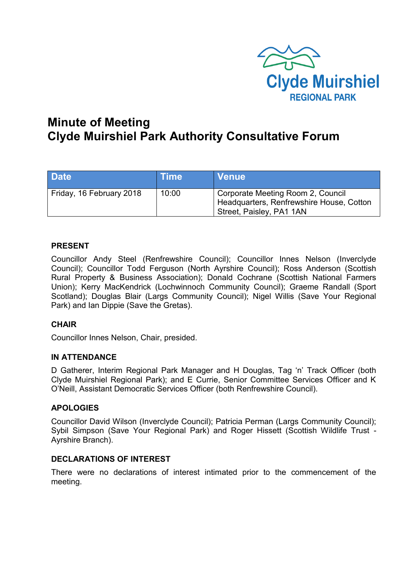

# **Minute of Meeting Clyde Muirshiel Park Authority Consultative Forum**

| <b>Date</b>              | <b>Time</b> | <b>Venue</b>                                                                                              |
|--------------------------|-------------|-----------------------------------------------------------------------------------------------------------|
| Friday, 16 February 2018 | 10:00       | Corporate Meeting Room 2, Council<br>Headquarters, Renfrewshire House, Cotton<br>Street, Paisley, PA1 1AN |

## **PRESENT**

Councillor Andy Steel (Renfrewshire Council); Councillor Innes Nelson (Inverclyde Council); Councillor Todd Ferguson (North Ayrshire Council); Ross Anderson (Scottish Rural Property & Business Association); Donald Cochrane (Scottish National Farmers Union); Kerry MacKendrick (Lochwinnoch Community Council); Graeme Randall (Sport Scotland); Douglas Blair (Largs Community Council); Nigel Willis (Save Your Regional Park) and Ian Dippie (Save the Gretas).

## **CHAIR**

Councillor Innes Nelson, Chair, presided.

## **IN ATTENDANCE**

D Gatherer, Interim Regional Park Manager and H Douglas, Tag 'n' Track Officer (both Clyde Muirshiel Regional Park); and E Currie, Senior Committee Services Officer and K O'Neill, Assistant Democratic Services Officer (both Renfrewshire Council).

## **APOLOGIES**

Councillor David Wilson (Inverclyde Council); Patricia Perman (Largs Community Council); Sybil Simpson (Save Your Regional Park) and Roger Hissett (Scottish Wildlife Trust - Ayrshire Branch).

## **DECLARATIONS OF INTEREST**

There were no declarations of interest intimated prior to the commencement of the meeting.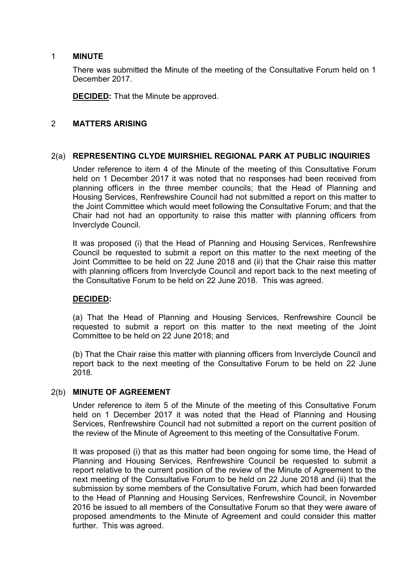#### 1 **MINUTE**

There was submitted the Minute of the meeting of the Consultative Forum held on 1 December 2017.

**DECIDED:** That the Minute be approved.

## 2 **MATTERS ARISING**

#### 2(a) **REPRESENTING CLYDE MUIRSHIEL REGIONAL PARK AT PUBLIC INQUIRIES**

Under reference to item 4 of the Minute of the meeting of this Consultative Forum held on 1 December 2017 it was noted that no responses had been received from planning officers in the three member councils; that the Head of Planning and Housing Services, Renfrewshire Council had not submitted a report on this matter to the Joint Committee which would meet following the Consultative Forum; and that the Chair had not had an opportunity to raise this matter with planning officers from Inverclyde Council.

It was proposed (i) that the Head of Planning and Housing Services, Renfrewshire Council be requested to submit a report on this matter to the next meeting of the Joint Committee to be held on 22 June 2018 and (ii) that the Chair raise this matter with planning officers from Inverclyde Council and report back to the next meeting of the Consultative Forum to be held on 22 June 2018. This was agreed.

## **DECIDED:**

(a) That the Head of Planning and Housing Services, Renfrewshire Council be requested to submit a report on this matter to the next meeting of the Joint Committee to be held on 22 June 2018; and

(b) That the Chair raise this matter with planning officers from Inverclyde Council and report back to the next meeting of the Consultative Forum to be held on 22 June 2018.

## 2(b) **MINUTE OF AGREEMENT**

Under reference to item 5 of the Minute of the meeting of this Consultative Forum held on 1 December 2017 it was noted that the Head of Planning and Housing Services, Renfrewshire Council had not submitted a report on the current position of the review of the Minute of Agreement to this meeting of the Consultative Forum.

It was proposed (i) that as this matter had been ongoing for some time, the Head of Planning and Housing Services, Renfrewshire Council be requested to submit a report relative to the current position of the review of the Minute of Agreement to the next meeting of the Consultative Forum to be held on 22 June 2018 and (ii) that the submission by some members of the Consultative Forum, which had been forwarded to the Head of Planning and Housing Services, Renfrewshire Council, in November 2016 be issued to all members of the Consultative Forum so that they were aware of proposed amendments to the Minute of Agreement and could consider this matter further. This was agreed.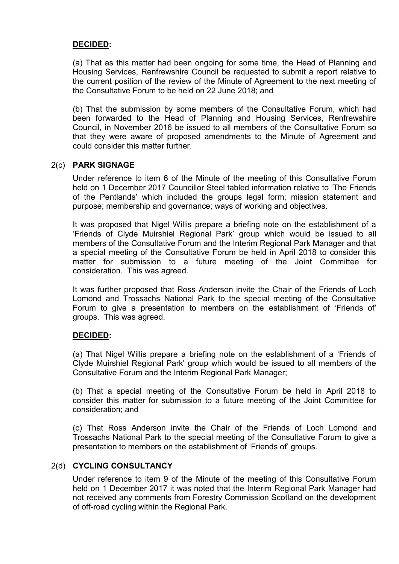## **DECIDED:**

(a) That as this matter had been ongoing for some time, the Head of Planning and Housing Services, Renfrewshire Council be requested to submit a report relative to the current position of the review of the Minute of Agreement to the next meeting of the Consultative Forum to be held on 22 June 2018; and

(b) That the submission by some members of the Consultative Forum, which had been forwarded to the Head of Planning and Housing Services, Renfrewshire Council, in November 2016 be issued to all members of the Consultative Forum so that they were aware of proposed amendments to the Minute of Agreement and could consider this matter further.

## 2(c) **PARK SIGNAGE**

Under reference to item 6 of the Minute of the meeting of this Consultative Forum held on 1 December 2017 Councillor Steel tabled information relative to 'The Friends of the Pentlands' which included the groups legal form; mission statement and purpose; membership and governance; ways of working and objectives.

It was proposed that Nigel Willis prepare a briefing note on the establishment of a 'Friends of Clyde Muirshiel Regional Park' group which would be issued to all members of the Consultative Forum and the Interim Regional Park Manager and that a special meeting of the Consultative Forum be held in April 2018 to consider this matter for submission to a future meeting of the Joint Committee for consideration. This was agreed.

It was further proposed that Ross Anderson invite the Chair of the Friends of Loch Lomond and Trossachs National Park to the special meeting of the Consultative Forum to give a presentation to members on the establishment of 'Friends of' groups. This was agreed.

## **DECIDED:**

(a) That Nigel Willis prepare a briefing note on the establishment of a 'Friends of Clyde Muirshiel Regional Park' group which would be issued to all members of the Consultative Forum and the Interim Regional Park Manager;

(b) That a special meeting of the Consultative Forum be held in April 2018 to consider this matter for submission to a future meeting of the Joint Committee for consideration; and

(c) That Ross Anderson invite the Chair of the Friends of Loch Lomond and Trossachs National Park to the special meeting of the Consultative Forum to give a presentation to members on the establishment of 'Friends of' groups.

## 2(d) **CYCLING CONSULTANCY**

Under reference to item 9 of the Minute of the meeting of this Consultative Forum held on 1 December 2017 it was noted that the Interim Regional Park Manager had not received any comments from Forestry Commission Scotland on the development of off-road cycling within the Regional Park.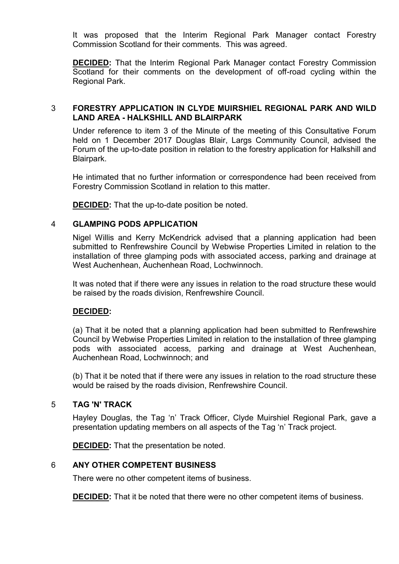It was proposed that the Interim Regional Park Manager contact Forestry Commission Scotland for their comments. This was agreed.

**DECIDED:** That the Interim Regional Park Manager contact Forestry Commission Scotland for their comments on the development of off-road cycling within the Regional Park.

#### 3 **FORESTRY APPLICATION IN CLYDE MUIRSHIEL REGIONAL PARK AND WILD LAND AREA - HALKSHILL AND BLAIRPARK**

Under reference to item 3 of the Minute of the meeting of this Consultative Forum held on 1 December 2017 Douglas Blair, Largs Community Council, advised the Forum of the up-to-date position in relation to the forestry application for Halkshill and Blairpark.

He intimated that no further information or correspondence had been received from Forestry Commission Scotland in relation to this matter.

**DECIDED:** That the up-to-date position be noted.

## 4 **GLAMPING PODS APPLICATION**

Nigel Willis and Kerry McKendrick advised that a planning application had been submitted to Renfrewshire Council by Webwise Properties Limited in relation to the installation of three glamping pods with associated access, parking and drainage at West Auchenhean, Auchenhean Road, Lochwinnoch.

It was noted that if there were any issues in relation to the road structure these would be raised by the roads division, Renfrewshire Council.

## **DECIDED:**

(a) That it be noted that a planning application had been submitted to Renfrewshire Council by Webwise Properties Limited in relation to the installation of three glamping pods with associated access, parking and drainage at West Auchenhean, Auchenhean Road, Lochwinnoch; and

(b) That it be noted that if there were any issues in relation to the road structure these would be raised by the roads division, Renfrewshire Council.

## 5 **TAG 'N' TRACK**

Hayley Douglas, the Tag 'n' Track Officer, Clyde Muirshiel Regional Park, gave a presentation updating members on all aspects of the Tag 'n' Track project.

**DECIDED:** That the presentation be noted.

## 6 **ANY OTHER COMPETENT BUSINESS**

There were no other competent items of business.

**DECIDED:** That it be noted that there were no other competent items of business.